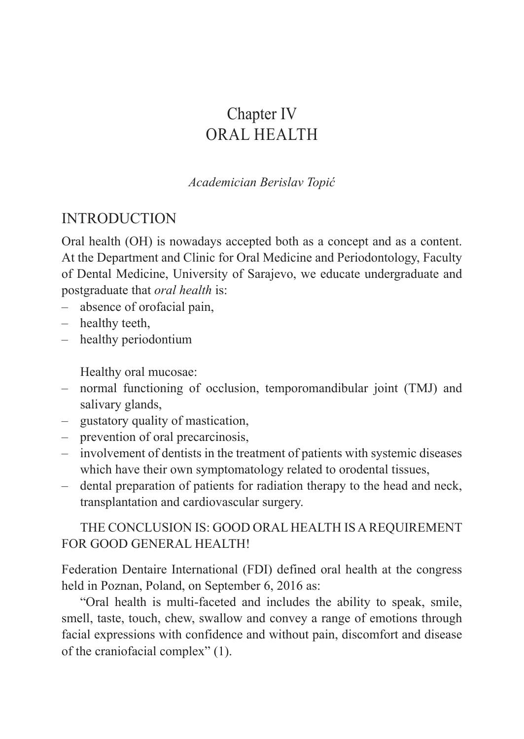# Chapter IV ORAL HEALTH

*Academician Berislav Topić*

#### INTRODUCTION

Oral health (OH) is nowadays accepted both as a concept and as a content. At the Department and Clinic for Oral Medicine and Periodontology, Faculty of Dental Medicine, University of Sarajevo, we educate undergraduate and postgraduate that *oral health* is:

- absence of orofacial pain,
- healthy teeth,
- healthy periodontium

Healthy oral mucosae:

- normal functioning of occlusion, temporomandibular joint (TMJ) and salivary glands,
- gustatory quality of mastication,
- prevention of oral precarcinosis,
- involvement of dentists in the treatment of patients with systemic diseases which have their own symptomatology related to orodental tissues,
- dental preparation of patients for radiation therapy to the head and neck, transplantation and cardiovascular surgery.

#### THE CONCLUSION IS: GOOD ORAL HEALTH IS A REQUIREMENT FOR GOOD GENERAL HEALTH!

Federation Dentaire International (FDI) defined oral health at the congress held in Poznan, Poland, on September 6, 2016 as:

"Oral health is multi-faceted and includes the ability to speak, smile, smell, taste, touch, chew, swallow and convey a range of emotions through facial expressions with confidence and without pain, discomfort and disease of the craniofacial complex" (1).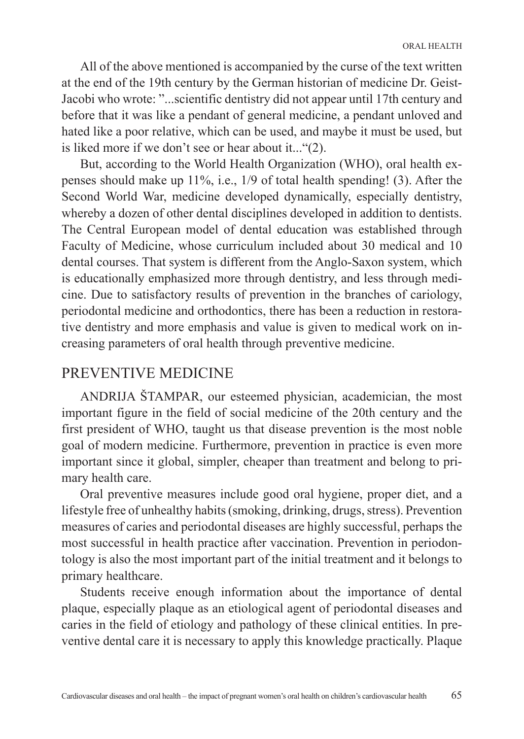All of the above mentioned is accompanied by the curse of the text written at the end of the 19th century by the German historian of medicine Dr. Geist-Jacobi who wrote: "...scientific dentistry did not appear until 17th century and before that it was like a pendant of general medicine, a pendant unloved and hated like a poor relative, which can be used, and maybe it must be used, but is liked more if we don't see or hear about it..."(2).

But, according to the World Health Organization (WHO), oral health expenses should make up 11%, i.e., 1/9 of total health spending! (3). After the Second World War, medicine developed dynamically, especially dentistry, whereby a dozen of other dental disciplines developed in addition to dentists. The Central European model of dental education was established through Faculty of Medicine, whose curriculum included about 30 medical and 10 dental courses. That system is different from the Anglo-Saxon system, which is educationally emphasized more through dentistry, and less through medicine. Due to satisfactory results of prevention in the branches of cariology, periodontal medicine and orthodontics, there has been a reduction in restorative dentistry and more emphasis and value is given to medical work on increasing parameters of oral health through preventive medicine.

#### PREVENTIVE MEDICINE

ANDRIJA ŠTAMPAR, our esteemed physician, academician, the most important figure in the field of social medicine of the 20th century and the first president of WHO, taught us that disease prevention is the most noble goal of modern medicine. Furthermore, prevention in practice is even more important since it global, simpler, cheaper than treatment and belong to primary health care.

Oral preventive measures include good oral hygiene, proper diet, and a lifestyle free of unhealthy habits (smoking, drinking, drugs, stress). Prevention measures of caries and periodontal diseases are highly successful, perhaps the most successful in health practice after vaccination. Prevention in periodontology is also the most important part of the initial treatment and it belongs to primary healthcare.

Students receive enough information about the importance of dental plaque, especially plaque as an etiological agent of periodontal diseases and caries in the field of etiology and pathology of these clinical entities. In preventive dental care it is necessary to apply this knowledge practically. Plaque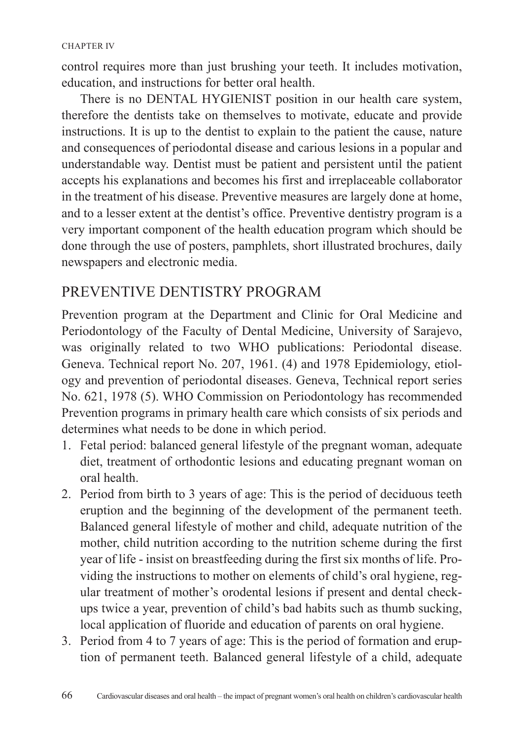control requires more than just brushing your teeth. It includes motivation, education, and instructions for better oral health.

There is no DENTAL HYGIENIST position in our health care system, therefore the dentists take on themselves to motivate, educate and provide instructions. It is up to the dentist to explain to the patient the cause, nature and consequences of periodontal disease and carious lesions in a popular and understandable way. Dentist must be patient and persistent until the patient accepts his explanations and becomes his first and irreplaceable collaborator in the treatment of his disease. Preventive measures are largely done at home, and to a lesser extent at the dentist's office. Preventive dentistry program is a very important component of the health education program which should be done through the use of posters, pamphlets, short illustrated brochures, daily newspapers and electronic media.

#### PREVENTIVE DENTISTRY PROGRAM

Prevention program at the Department and Clinic for Oral Medicine and Periodontology of the Faculty of Dental Medicine, University of Sarajevo, was originally related to two WHO publications: Periodontal disease. Geneva. Technical report No. 207, 1961. (4) and 1978 Epidemiology, etiology and prevention of periodontal diseases. Geneva, Technical report series No. 621, 1978 (5). WHO Commission on Periodontology has recommended Prevention programs in primary health care which consists of six periods and determines what needs to be done in which period.

- 1. Fetal period: balanced general lifestyle of the pregnant woman, adequate diet, treatment of orthodontic lesions and educating pregnant woman on oral health.
- 2. Period from birth to 3 years of age: This is the period of deciduous teeth eruption and the beginning of the development of the permanent teeth. Balanced general lifestyle of mother and child, adequate nutrition of the mother, child nutrition according to the nutrition scheme during the first year of life - insist on breastfeeding during the first six months of life. Providing the instructions to mother on elements of child's oral hygiene, regular treatment of mother's orodental lesions if present and dental checkups twice a year, prevention of child's bad habits such as thumb sucking, local application of fluoride and education of parents on oral hygiene.
- 3. Period from 4 to 7 years of age: This is the period of formation and eruption of permanent teeth. Balanced general lifestyle of a child, adequate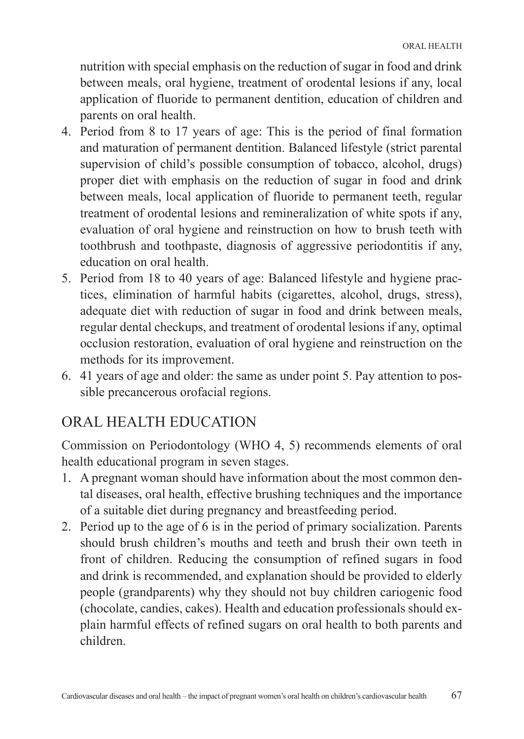nutrition with special emphasis on the reduction of sugar in food and drink between meals, oral hygiene, treatment of orodental lesions if any, local application of fluoride to permanent dentition, education of children and parents on oral health.

- 4. Period from 8 to 17 years of age: This is the period of final formation and maturation of permanent dentition. Balanced lifestyle (strict parental supervision of child's possible consumption of tobacco, alcohol, drugs) proper diet with emphasis on the reduction of sugar in food and drink between meals, local application of fluoride to permanent teeth, regular treatment of orodental lesions and remineralization of white spots if any, evaluation of oral hygiene and reinstruction on how to brush teeth with toothbrush and toothpaste, diagnosis of aggressive periodontitis if any, education on oral health.
- 5. Period from 18 to 40 years of age: Balanced lifestyle and hygiene practices, elimination of harmful habits (cigarettes, alcohol, drugs, stress), adequate diet with reduction of sugar in food and drink between meals, regular dental checkups, and treatment of orodental lesions if any, optimal occlusion restoration, evaluation of oral hygiene and reinstruction on the methods for its improvement.
- 6. 41 years of age and older: the same as under point 5. Pay attention to possible precancerous orofacial regions.

## ORAL HEALTH EDUCATION

Commission on Periodontology (WHO 4, 5) recommends elements of oral health educational program in seven stages.

- 1. A pregnant woman should have information about the most common dental diseases, oral health, effective brushing techniques and the importance of a suitable diet during pregnancy and breastfeeding period.
- 2. Period up to the age of 6 is in the period of primary socialization. Parents should brush children's mouths and teeth and brush their own teeth in front of children. Reducing the consumption of refined sugars in food and drink is recommended, and explanation should be provided to elderly people (grandparents) why they should not buy children cariogenic food (chocolate, candies, cakes). Health and education professionals should explain harmful effects of refined sugars on oral health to both parents and children.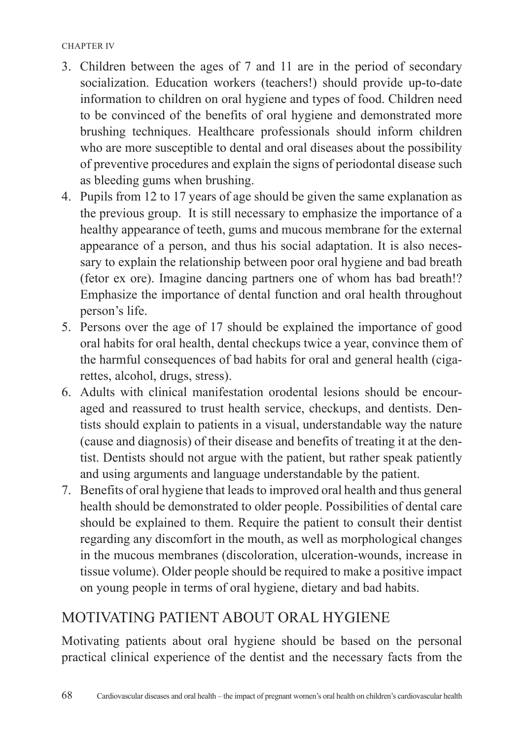#### CHAPTER IV

- 3. Children between the ages of 7 and 11 are in the period of secondary socialization. Education workers (teachers!) should provide up-to-date information to children on oral hygiene and types of food. Children need to be convinced of the benefits of oral hygiene and demonstrated more brushing techniques. Healthcare professionals should inform children who are more susceptible to dental and oral diseases about the possibility of preventive procedures and explain the signs of periodontal disease such as bleeding gums when brushing.
- 4. Pupils from 12 to 17 years of age should be given the same explanation as the previous group. It is still necessary to emphasize the importance of a healthy appearance of teeth, gums and mucous membrane for the external appearance of a person, and thus his social adaptation. It is also necessary to explain the relationship between poor oral hygiene and bad breath (fetor ex ore). Imagine dancing partners one of whom has bad breath!? Emphasize the importance of dental function and oral health throughout person's life.
- 5. Persons over the age of 17 should be explained the importance of good oral habits for oral health, dental checkups twice a year, convince them of the harmful consequences of bad habits for oral and general health (cigarettes, alcohol, drugs, stress).
- 6. Adults with clinical manifestation orodental lesions should be encouraged and reassured to trust health service, checkups, and dentists. Dentists should explain to patients in a visual, understandable way the nature (cause and diagnosis) of their disease and benefits of treating it at the dentist. Dentists should not argue with the patient, but rather speak patiently and using arguments and language understandable by the patient.
- 7. Benefits of oral hygiene that leads to improved oral health and thus general health should be demonstrated to older people. Possibilities of dental care should be explained to them. Require the patient to consult their dentist regarding any discomfort in the mouth, as well as morphological changes in the mucous membranes (discoloration, ulceration-wounds, increase in tissue volume). Older people should be required to make a positive impact on young people in terms of oral hygiene, dietary and bad habits.

#### MOTIVATING PATIENT ABOUT ORAL HYGIENE

Motivating patients about oral hygiene should be based on the personal practical clinical experience of the dentist and the necessary facts from the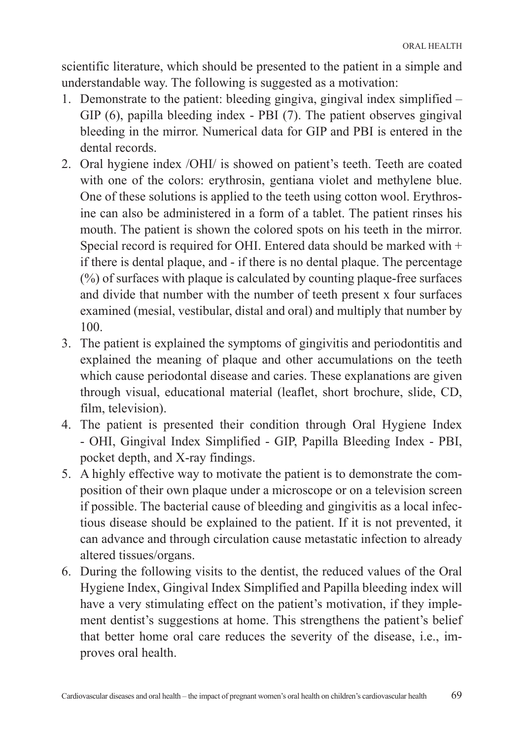scientific literature, which should be presented to the patient in a simple and understandable way. The following is suggested as a motivation:

- 1. Demonstrate to the patient: bleeding gingiva, gingival index simplified GIP (6), papilla bleeding index - PBI (7). The patient observes gingival bleeding in the mirror. Numerical data for GIP and PBI is entered in the dental records.
- 2. Oral hygiene index /OHI/ is showed on patient's teeth. Teeth are coated with one of the colors: erythrosin, gentiana violet and methylene blue. One of these solutions is applied to the teeth using cotton wool. Erythrosine can also be administered in a form of a tablet. The patient rinses his mouth. The patient is shown the colored spots on his teeth in the mirror. Special record is required for OHI. Entered data should be marked with  $+$ if there is dental plaque, and - if there is no dental plaque. The percentage (%) of surfaces with plaque is calculated by counting plaque-free surfaces and divide that number with the number of teeth present x four surfaces examined (mesial, vestibular, distal and oral) and multiply that number by 100.
- 3. The patient is explained the symptoms of gingivitis and periodontitis and explained the meaning of plaque and other accumulations on the teeth which cause periodontal disease and caries. These explanations are given through visual, educational material (leaflet, short brochure, slide, CD, film, television).
- 4. The patient is presented their condition through Oral Hygiene Index - OHI, Gingival Index Simplified - GIP, Papilla Bleeding Index - PBI, pocket depth, and X-ray findings.
- 5. A highly effective way to motivate the patient is to demonstrate the composition of their own plaque under a microscope or on a television screen if possible. The bacterial cause of bleeding and gingivitis as a local infectious disease should be explained to the patient. If it is not prevented, it can advance and through circulation cause metastatic infection to already altered tissues/organs.
- 6. During the following visits to the dentist, the reduced values of the Oral Hygiene Index, Gingival Index Simplified and Papilla bleeding index will have a very stimulating effect on the patient's motivation, if they implement dentist's suggestions at home. This strengthens the patient's belief that better home oral care reduces the severity of the disease, i.e., improves oral health.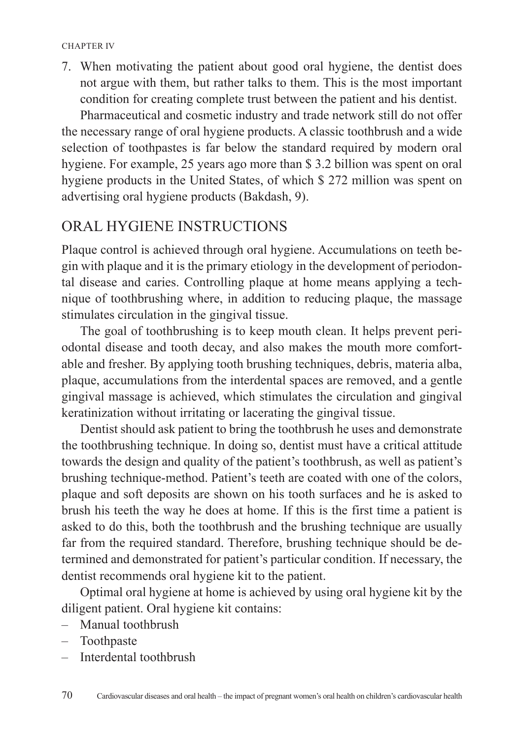7. When motivating the patient about good oral hygiene, the dentist does not argue with them, but rather talks to them. This is the most important condition for creating complete trust between the patient and his dentist.

Pharmaceutical and cosmetic industry and trade network still do not offer the necessary range of oral hygiene products. A classic toothbrush and a wide selection of toothpastes is far below the standard required by modern oral hygiene. For example, 25 years ago more than \$ 3.2 billion was spent on oral hygiene products in the United States, of which \$ 272 million was spent on advertising oral hygiene products (Bakdash, 9).

#### ORAL HYGIENE INSTRUCTIONS

Plaque control is achieved through oral hygiene. Accumulations on teeth begin with plaque and it is the primary etiology in the development of periodontal disease and caries. Controlling plaque at home means applying a technique of toothbrushing where, in addition to reducing plaque, the massage stimulates circulation in the gingival tissue.

The goal of toothbrushing is to keep mouth clean. It helps prevent periodontal disease and tooth decay, and also makes the mouth more comfortable and fresher. By applying tooth brushing techniques, debris, materia alba, plaque, accumulations from the interdental spaces are removed, and a gentle gingival massage is achieved, which stimulates the circulation and gingival keratinization without irritating or lacerating the gingival tissue.

Dentist should ask patient to bring the toothbrush he uses and demonstrate the toothbrushing technique. In doing so, dentist must have a critical attitude towards the design and quality of the patient's toothbrush, as well as patient's brushing technique-method. Patient's teeth are coated with one of the colors, plaque and soft deposits are shown on his tooth surfaces and he is asked to brush his teeth the way he does at home. If this is the first time a patient is asked to do this, both the toothbrush and the brushing technique are usually far from the required standard. Therefore, brushing technique should be determined and demonstrated for patient's particular condition. If necessary, the dentist recommends oral hygiene kit to the patient.

Optimal oral hygiene at home is achieved by using oral hygiene kit by the diligent patient. Oral hygiene kit contains:

- Manual toothbrush
- Toothpaste
- Interdental toothbrush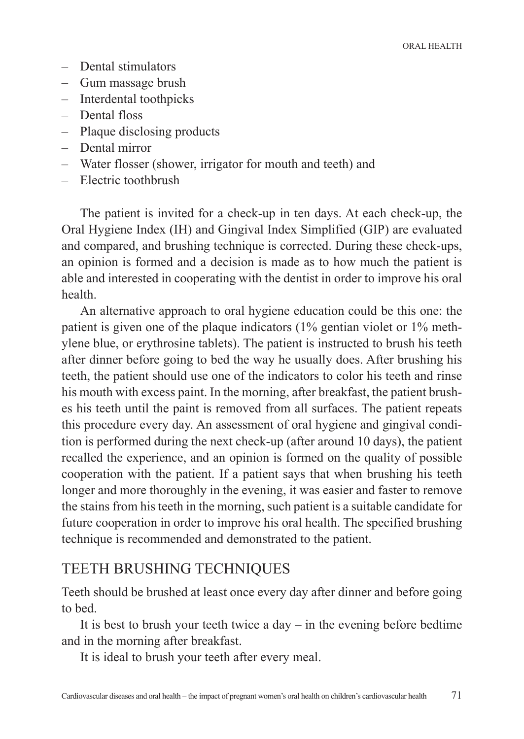- Dental stimulators
- Gum massage brush
- Interdental toothpicks
- Dental floss
- Plaque disclosing products
- Dental mirror
- Water flosser (shower, irrigator for mouth and teeth) and
- Electric toothbrush

The patient is invited for a check-up in ten days. At each check-up, the Oral Hygiene Index (IH) and Gingival Index Simplified (GIP) are evaluated and compared, and brushing technique is corrected. During these check-ups, an opinion is formed and a decision is made as to how much the patient is able and interested in cooperating with the dentist in order to improve his oral health.

An alternative approach to oral hygiene education could be this one: the patient is given one of the plaque indicators (1% gentian violet or 1% methylene blue, or erythrosine tablets). The patient is instructed to brush his teeth after dinner before going to bed the way he usually does. After brushing his teeth, the patient should use one of the indicators to color his teeth and rinse his mouth with excess paint. In the morning, after breakfast, the patient brushes his teeth until the paint is removed from all surfaces. The patient repeats this procedure every day. An assessment of oral hygiene and gingival condition is performed during the next check-up (after around 10 days), the patient recalled the experience, and an opinion is formed on the quality of possible cooperation with the patient. If a patient says that when brushing his teeth longer and more thoroughly in the evening, it was easier and faster to remove the stains from his teeth in the morning, such patient is a suitable candidate for future cooperation in order to improve his oral health. The specified brushing technique is recommended and demonstrated to the patient.

#### TEETH BRUSHING TECHNIQUES

Teeth should be brushed at least once every day after dinner and before going to bed.

It is best to brush your teeth twice a day  $-$  in the evening before bedtime and in the morning after breakfast.

It is ideal to brush your teeth after every meal.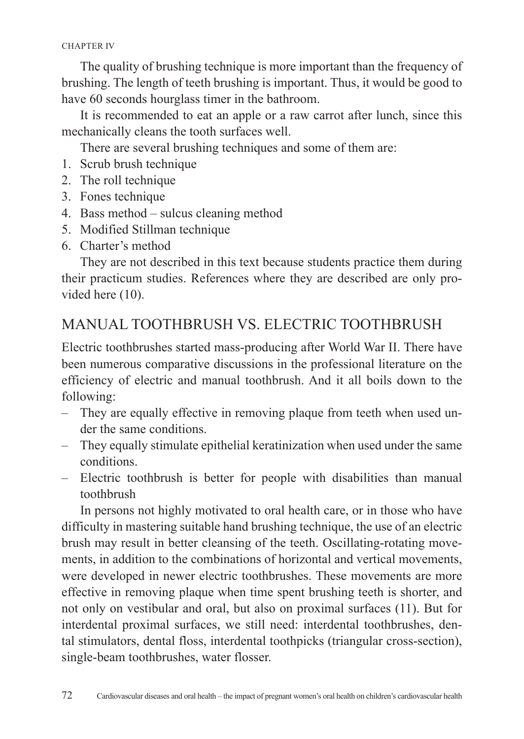The quality of brushing technique is more important than the frequency of brushing. The length of teeth brushing is important. Thus, it would be good to have 60 seconds hourglass timer in the bathroom.

It is recommended to eat an apple or a raw carrot after lunch, since this mechanically cleans the tooth surfaces well.

There are several brushing techniques and some of them are:

- 1. Scrub brush technique
- 2. The roll technique
- 3. Fones technique
- 4. Bass method sulcus cleaning method
- 5. Modified Stillman technique
- 6. Charter's method

They are not described in this text because students practice them during their practicum studies. References where they are described are only provided here (10).

### MANUAL TOOTHBRUSH VS. ELECTRIC TOOTHBRUSH

Electric toothbrushes started mass-producing after World War II. There have been numerous comparative discussions in the professional literature on the efficiency of electric and manual toothbrush. And it all boils down to the following:

- They are equally effective in removing plaque from teeth when used under the same conditions.
- They equally stimulate epithelial keratinization when used under the same conditions.
- Electric toothbrush is better for people with disabilities than manual toothbrush

In persons not highly motivated to oral health care, or in those who have difficulty in mastering suitable hand brushing technique, the use of an electric brush may result in better cleansing of the teeth. Oscillating-rotating movements, in addition to the combinations of horizontal and vertical movements, were developed in newer electric toothbrushes. These movements are more effective in removing plaque when time spent brushing teeth is shorter, and not only on vestibular and oral, but also on proximal surfaces (11). But for interdental proximal surfaces, we still need: interdental toothbrushes, dental stimulators, dental floss, interdental toothpicks (triangular cross-section), single-beam toothbrushes, water flosser.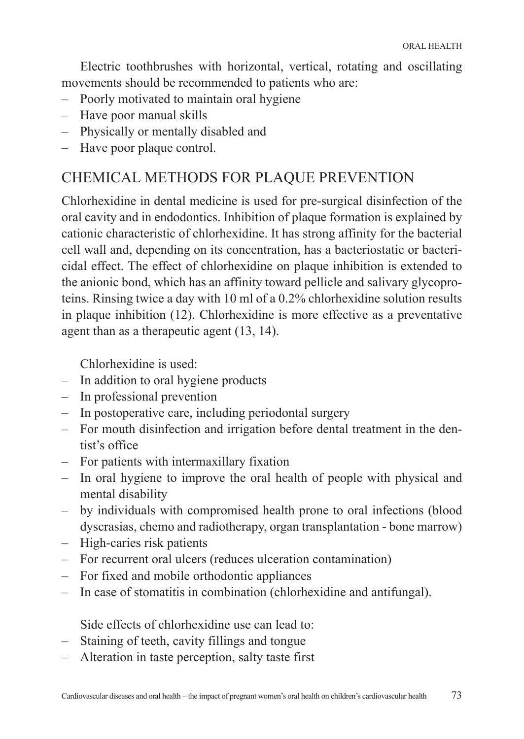Electric toothbrushes with horizontal, vertical, rotating and oscillating movements should be recommended to patients who are:

- Poorly motivated to maintain oral hygiene
- Have poor manual skills
- Physically or mentally disabled and
- Have poor plaque control.

# CHEMICAL METHODS FOR PLAQUE PREVENTION

Chlorhexidine in dental medicine is used for pre-surgical disinfection of the oral cavity and in endodontics. Inhibition of plaque formation is explained by cationic characteristic of chlorhexidine. It has strong affinity for the bacterial cell wall and, depending on its concentration, has a bacteriostatic or bactericidal effect. The effect of chlorhexidine on plaque inhibition is extended to the anionic bond, which has an affinity toward pellicle and salivary glycoproteins. Rinsing twice a day with 10 ml of a 0.2% chlorhexidine solution results in plaque inhibition (12). Chlorhexidine is more effective as a preventative agent than as a therapeutic agent (13, 14).

Chlorhexidine is used:

- In addition to oral hygiene products
- In professional prevention
- In postoperative care, including periodontal surgery
- For mouth disinfection and irrigation before dental treatment in the dentist's office
- For patients with intermaxillary fixation
- In oral hygiene to improve the oral health of people with physical and mental disability
- by individuals with compromised health prone to oral infections (blood dyscrasias, chemo and radiotherapy, organ transplantation - bone marrow)
- High-caries risk patients
- For recurrent oral ulcers (reduces ulceration contamination)
- For fixed and mobile orthodontic appliances
- In case of stomatitis in combination (chlorhexidine and antifungal).

Side effects of chlorhexidine use can lead to:

- Staining of teeth, cavity fillings and tongue
- Alteration in taste perception, salty taste first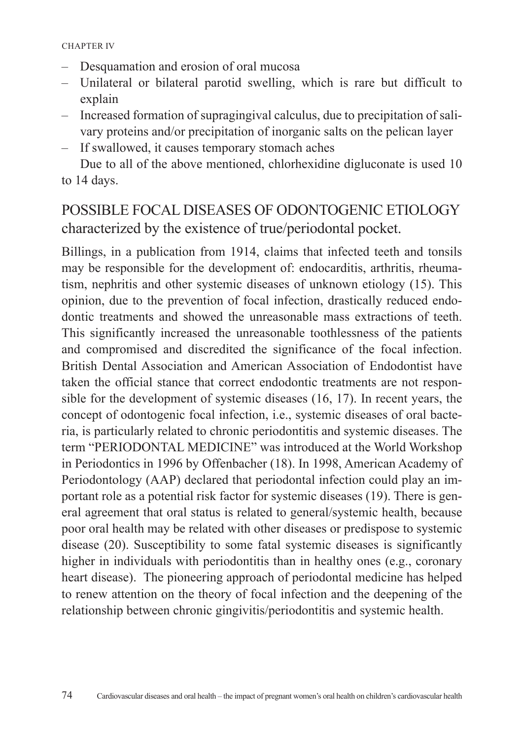- Desquamation and erosion of oral mucosa
- Unilateral or bilateral parotid swelling, which is rare but difficult to explain
- Increased formation of supragingival calculus, due to precipitation of salivary proteins and/or precipitation of inorganic salts on the pelican layer
- If swallowed, it causes temporary stomach aches

Due to all of the above mentioned, chlorhexidine digluconate is used 10 to 14 days.

# POSSIBLE FOCAL DISEASES OF ODONTOGENIC ETIOLOGY characterized by the existence of true/periodontal pocket.

Billings, in a publication from 1914, claims that infected teeth and tonsils may be responsible for the development of: endocarditis, arthritis, rheumatism, nephritis and other systemic diseases of unknown etiology (15). This opinion, due to the prevention of focal infection, drastically reduced endodontic treatments and showed the unreasonable mass extractions of teeth. This significantly increased the unreasonable toothlessness of the patients and compromised and discredited the significance of the focal infection. British Dental Association and American Association of Endodontist have taken the official stance that correct endodontic treatments are not responsible for the development of systemic diseases (16, 17). In recent years, the concept of odontogenic focal infection, i.e., systemic diseases of oral bacteria, is particularly related to chronic periodontitis and systemic diseases. The term "PERIODONTAL MEDICINE" was introduced at the World Workshop in Periodontics in 1996 by Offenbacher (18). In 1998, American Academy of Periodontology (AAP) declared that periodontal infection could play an important role as a potential risk factor for systemic diseases (19). There is general agreement that oral status is related to general/systemic health, because poor oral health may be related with other diseases or predispose to systemic disease (20). Susceptibility to some fatal systemic diseases is significantly higher in individuals with periodontitis than in healthy ones (e.g., coronary heart disease). The pioneering approach of periodontal medicine has helped to renew attention on the theory of focal infection and the deepening of the relationship between chronic gingivitis/periodontitis and systemic health.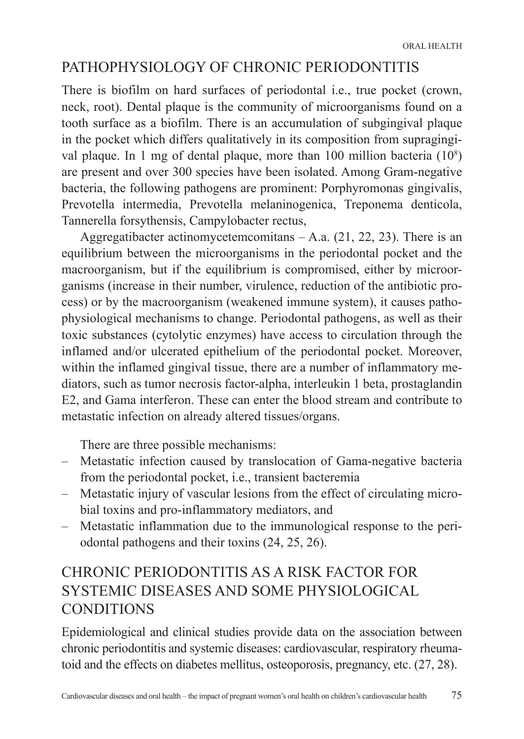# PATHOPHYSIOLOGY OF CHRONIC PERIODONTITIS

There is biofilm on hard surfaces of periodontal i.e., true pocket (crown, neck, root). Dental plaque is the community of microorganisms found on a tooth surface as a biofilm. There is an accumulation of subgingival plaque in the pocket which differs qualitatively in its composition from supragingival plaque. In 1 mg of dental plaque, more than 100 million bacteria (10<sup>8</sup> ) are present and over 300 species have been isolated. Among Gram-negative bacteria, the following pathogens are prominent: Porphyromonas gingivalis, Prevotella intermedia, Prevotella melaninogenica, Treponema denticola, Tannerella forsythensis, Campylobacter rectus,

Aggregatibacter actinomycetemcomitans  $-$  A.a.  $(21, 22, 23)$ . There is an equilibrium between the microorganisms in the periodontal pocket and the macroorganism, but if the equilibrium is compromised, either by microorganisms (increase in their number, virulence, reduction of the antibiotic process) or by the macroorganism (weakened immune system), it causes pathophysiological mechanisms to change. Periodontal pathogens, as well as their toxic substances (cytolytic enzymes) have access to circulation through the inflamed and/or ulcerated epithelium of the periodontal pocket. Moreover, within the inflamed gingival tissue, there are a number of inflammatory mediators, such as tumor necrosis factor-alpha, interleukin 1 beta, prostaglandin E2, and Gama interferon. These can enter the blood stream and contribute to metastatic infection on already altered tissues/organs.

There are three possible mechanisms:

- Metastatic infection caused by translocation of Gama-negative bacteria from the periodontal pocket, i.e., transient bacteremia
- Metastatic injury of vascular lesions from the effect of circulating microbial toxins and pro-inflammatory mediators, and
- Metastatic inflammation due to the immunological response to the periodontal pathogens and their toxins (24, 25, 26).

# CHRONIC PERIODONTITIS AS A RISK FACTOR FOR SYSTEMIC DISEASES AND SOME PHYSIOLOGICAL **CONDITIONS**

Epidemiological and clinical studies provide data on the association between chronic periodontitis and systemic diseases: cardiovascular, respiratory rheumatoid and the effects on diabetes mellitus, osteoporosis, pregnancy, etc. (27, 28).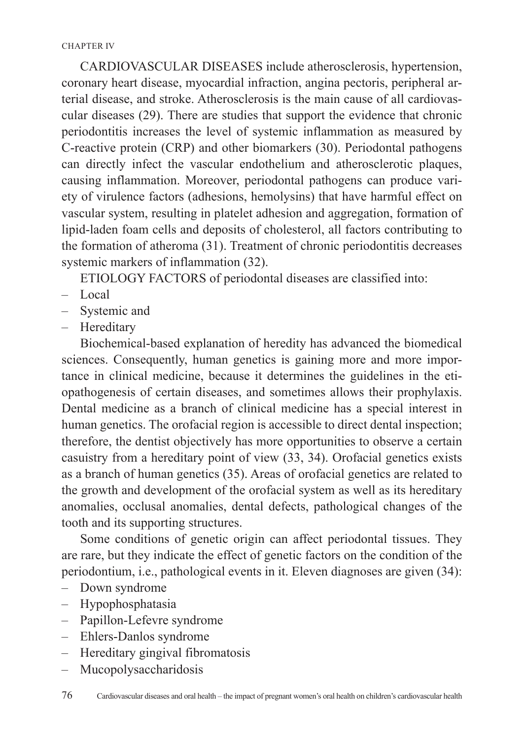CARDIOVASCULAR DISEASES include atherosclerosis, hypertension, coronary heart disease, myocardial infraction, angina pectoris, peripheral arterial disease, and stroke. Atherosclerosis is the main cause of all cardiovascular diseases (29). There are studies that support the evidence that chronic periodontitis increases the level of systemic inflammation as measured by C-reactive protein (CRP) and other biomarkers (30). Periodontal pathogens can directly infect the vascular endothelium and atherosclerotic plaques, causing inflammation. Moreover, periodontal pathogens can produce variety of virulence factors (adhesions, hemolysins) that have harmful effect on vascular system, resulting in platelet adhesion and aggregation, formation of lipid-laden foam cells and deposits of cholesterol, all factors contributing to the formation of atheroma (31). Treatment of chronic periodontitis decreases systemic markers of inflammation (32).

ETIOLOGY FACTORS of periodontal diseases are classified into:

- Local
- Systemic and
- Hereditary

Biochemical-based explanation of heredity has advanced the biomedical sciences. Consequently, human genetics is gaining more and more importance in clinical medicine, because it determines the guidelines in the etiopathogenesis of certain diseases, and sometimes allows their prophylaxis. Dental medicine as a branch of clinical medicine has a special interest in human genetics. The orofacial region is accessible to direct dental inspection; therefore, the dentist objectively has more opportunities to observe a certain casuistry from a hereditary point of view (33, 34). Orofacial genetics exists as a branch of human genetics (35). Areas of orofacial genetics are related to the growth and development of the orofacial system as well as its hereditary anomalies, occlusal anomalies, dental defects, pathological changes of the tooth and its supporting structures.

Some conditions of genetic origin can affect periodontal tissues. They are rare, but they indicate the effect of genetic factors on the condition of the periodontium, i.e., pathological events in it. Eleven diagnoses are given (34):

- Down syndrome
- Hypophosphatasia
- Papillon-Lefevre syndrome
- Ehlers-Danlos syndrome
- Hereditary gingival fibromatosis
- Mucopolysaccharidosis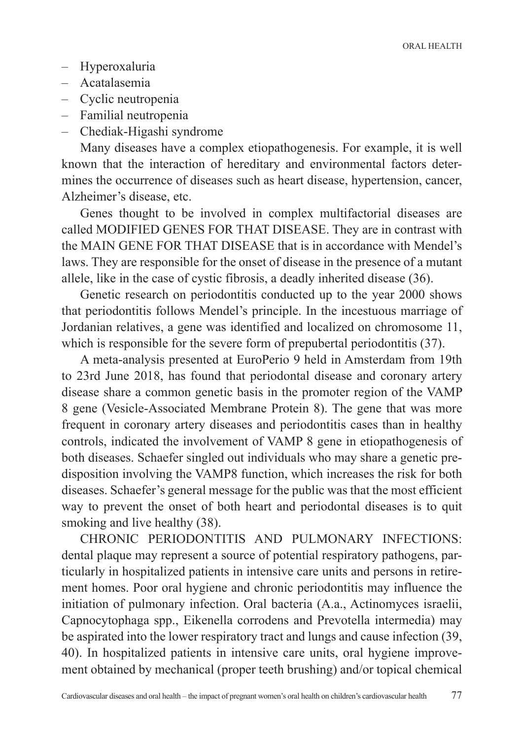- Hyperoxaluria
- Acatalasemia
- Cyclic neutropenia
- Familial neutropenia
- Chediak-Higashi syndrome

Many diseases have a complex etiopathogenesis. For example, it is well known that the interaction of hereditary and environmental factors determines the occurrence of diseases such as heart disease, hypertension, cancer, Alzheimer's disease, etc.

Genes thought to be involved in complex multifactorial diseases are called MODIFIED GENES FOR THAT DISEASE. They are in contrast with the MAIN GENE FOR THAT DISEASE that is in accordance with Mendel's laws. They are responsible for the onset of disease in the presence of a mutant allele, like in the case of cystic fibrosis, a deadly inherited disease (36).

Genetic research on periodontitis conducted up to the year 2000 shows that periodontitis follows Mendel's principle. In the incestuous marriage of Jordanian relatives, a gene was identified and localized on chromosome 11, which is responsible for the severe form of prepubertal periodontitis (37).

A meta-analysis presented at EuroPerio 9 held in Amsterdam from 19th to 23rd June 2018, has found that periodontal disease and coronary artery disease share a common genetic basis in the promoter region of the VAMP 8 gene (Vesicle-Associated Membrane Protein 8). The gene that was more frequent in coronary artery diseases and periodontitis cases than in healthy controls, indicated the involvement of VAMP 8 gene in etiopathogenesis of both diseases. Schaefer singled out individuals who may share a genetic predisposition involving the VAMP8 function, which increases the risk for both diseases. Schaefer's general message for the public was that the most efficient way to prevent the onset of both heart and periodontal diseases is to quit smoking and live healthy (38).

CHRONIC PERIODONTITIS AND PULMONARY INFECTIONS: dental plaque may represent a source of potential respiratory pathogens, particularly in hospitalized patients in intensive care units and persons in retirement homes. Poor oral hygiene and chronic periodontitis may influence the initiation of pulmonary infection. Oral bacteria (A.a., Actinomyces israelii, Capnocytophaga spp., Eikenella corrodens and Prevotella intermedia) may be aspirated into the lower respiratory tract and lungs and cause infection (39, 40). In hospitalized patients in intensive care units, oral hygiene improvement obtained by mechanical (proper teeth brushing) and/or topical chemical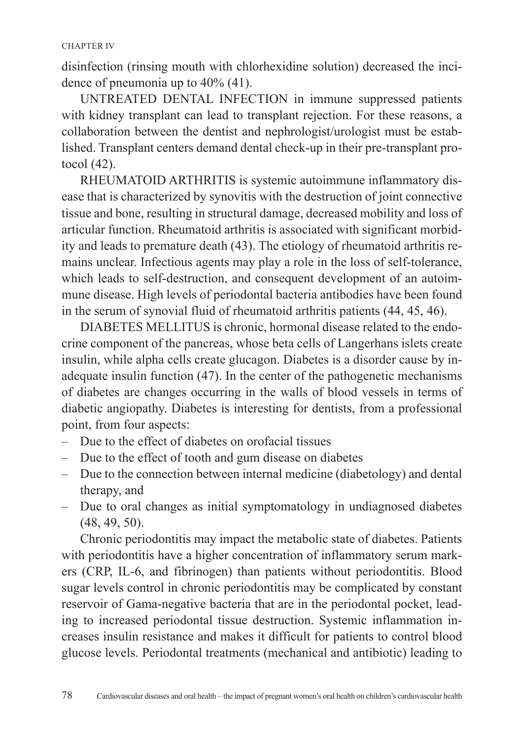disinfection (rinsing mouth with chlorhexidine solution) decreased the incidence of pneumonia up to 40% (41).

UNTREATED DENTAL INFECTION in immune suppressed patients with kidney transplant can lead to transplant rejection. For these reasons, a collaboration between the dentist and nephrologist/urologist must be established. Transplant centers demand dental check-up in their pre-transplant protocol (42).

RHEUMATOID ARTHRITIS is systemic autoimmune inflammatory disease that is characterized by synovitis with the destruction of joint connective tissue and bone, resulting in structural damage, decreased mobility and loss of articular function. Rheumatoid arthritis is associated with significant morbidity and leads to premature death (43). The etiology of rheumatoid arthritis remains unclear. Infectious agents may play a role in the loss of self-tolerance, which leads to self-destruction, and consequent development of an autoimmune disease. High levels of periodontal bacteria antibodies have been found in the serum of synovial fluid of rheumatoid arthritis patients (44, 45, 46).

DIABETES MELLITUS is chronic, hormonal disease related to the endocrine component of the pancreas, whose beta cells of Langerhans islets create insulin, while alpha cells create glucagon. Diabetes is a disorder cause by inadequate insulin function (47). In the center of the pathogenetic mechanisms of diabetes are changes occurring in the walls of blood vessels in terms of diabetic angiopathy. Diabetes is interesting for dentists, from a professional point, from four aspects:

- Due to the effect of diabetes on orofacial tissues
- Due to the effect of tooth and gum disease on diabetes
- Due to the connection between internal medicine (diabetology) and dental therapy, and
- Due to oral changes as initial symptomatology in undiagnosed diabetes (48, 49, 50).

Chronic periodontitis may impact the metabolic state of diabetes. Patients with periodontitis have a higher concentration of inflammatory serum markers (CRP, IL-6, and fibrinogen) than patients without periodontitis. Blood sugar levels control in chronic periodontitis may be complicated by constant reservoir of Gama-negative bacteria that are in the periodontal pocket, leading to increased periodontal tissue destruction. Systemic inflammation increases insulin resistance and makes it difficult for patients to control blood glucose levels. Periodontal treatments (mechanical and antibiotic) leading to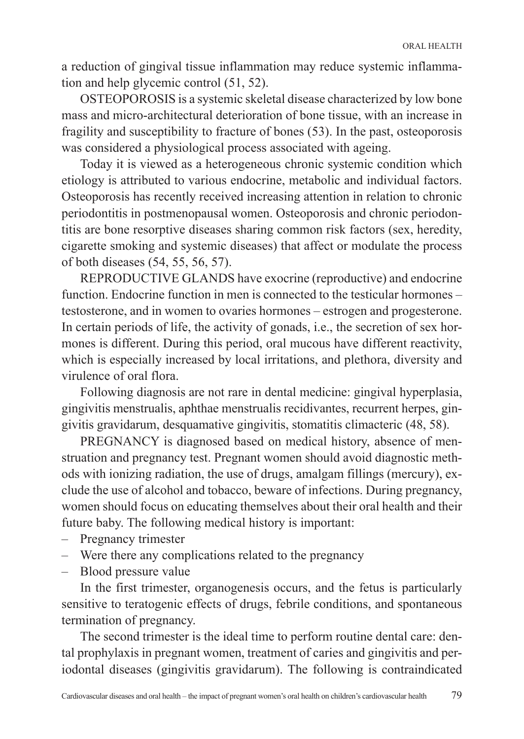a reduction of gingival tissue inflammation may reduce systemic inflammation and help glycemic control (51, 52).

OSTEOPOROSIS is a systemic skeletal disease characterized by low bone mass and micro-architectural deterioration of bone tissue, with an increase in fragility and susceptibility to fracture of bones (53). In the past, osteoporosis was considered a physiological process associated with ageing.

Today it is viewed as a heterogeneous chronic systemic condition which etiology is attributed to various endocrine, metabolic and individual factors. Osteoporosis has recently received increasing attention in relation to chronic periodontitis in postmenopausal women. Osteoporosis and chronic periodontitis are bone resorptive diseases sharing common risk factors (sex, heredity, cigarette smoking and systemic diseases) that affect or modulate the process of both diseases (54, 55, 56, 57).

REPRODUCTIVE GLANDS have exocrine (reproductive) and endocrine function. Endocrine function in men is connected to the testicular hormones – testosterone, and in women to ovaries hormones – estrogen and progesterone. In certain periods of life, the activity of gonads, i.e., the secretion of sex hormones is different. During this period, oral mucous have different reactivity, which is especially increased by local irritations, and plethora, diversity and virulence of oral flora.

Following diagnosis are not rare in dental medicine: gingival hyperplasia, gingivitis menstrualis, aphthae menstrualis recidivantes, recurrent herpes, gingivitis gravidarum, desquamative gingivitis, stomatitis climacteric (48, 58).

PREGNANCY is diagnosed based on medical history, absence of menstruation and pregnancy test. Pregnant women should avoid diagnostic methods with ionizing radiation, the use of drugs, amalgam fillings (mercury), exclude the use of alcohol and tobacco, beware of infections. During pregnancy, women should focus on educating themselves about their oral health and their future baby. The following medical history is important:

- Pregnancy trimester
- Were there any complications related to the pregnancy
- Blood pressure value

In the first trimester, organogenesis occurs, and the fetus is particularly sensitive to teratogenic effects of drugs, febrile conditions, and spontaneous termination of pregnancy.

The second trimester is the ideal time to perform routine dental care: dental prophylaxis in pregnant women, treatment of caries and gingivitis and periodontal diseases (gingivitis gravidarum). The following is contraindicated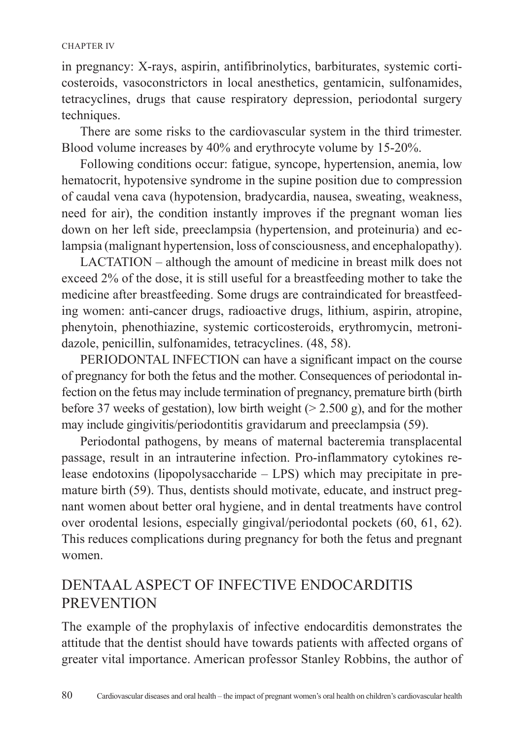#### CHAPTER IV

in pregnancy: X-rays, aspirin, antifibrinolytics, barbiturates, systemic corticosteroids, vasoconstrictors in local anesthetics, gentamicin, sulfonamides, tetracyclines, drugs that cause respiratory depression, periodontal surgery techniques.

There are some risks to the cardiovascular system in the third trimester. Blood volume increases by 40% and erythrocyte volume by 15-20%.

Following conditions occur: fatigue, syncope, hypertension, anemia, low hematocrit, hypotensive syndrome in the supine position due to compression of caudal vena cava (hypotension, bradycardia, nausea, sweating, weakness, need for air), the condition instantly improves if the pregnant woman lies down on her left side, preeclampsia (hypertension, and proteinuria) and eclampsia (malignant hypertension, loss of consciousness, and encephalopathy).

LACTATION – although the amount of medicine in breast milk does not exceed 2% of the dose, it is still useful for a breastfeeding mother to take the medicine after breastfeeding. Some drugs are contraindicated for breastfeeding women: anti-cancer drugs, radioactive drugs, lithium, aspirin, atropine, phenytoin, phenothiazine, systemic corticosteroids, erythromycin, metronidazole, penicillin, sulfonamides, tetracyclines. (48, 58).

PERIODONTAL INFECTION can have a significant impact on the course of pregnancy for both the fetus and the mother. Consequences of periodontal infection on the fetus may include termination of pregnancy, premature birth (birth before 37 weeks of gestation), low birth weight  $(> 2.500 \text{ g})$ , and for the mother may include gingivitis/periodontitis gravidarum and preeclampsia (59).

Periodontal pathogens, by means of maternal bacteremia transplacental passage, result in an intrauterine infection. Pro-inflammatory cytokines release endotoxins (lipopolysaccharide – LPS) which may precipitate in premature birth (59). Thus, dentists should motivate, educate, and instruct pregnant women about better oral hygiene, and in dental treatments have control over orodental lesions, especially gingival/periodontal pockets (60, 61, 62). This reduces complications during pregnancy for both the fetus and pregnant women.

### DENTAAL ASPECT OF INFECTIVE ENDOCARDITIS **PREVENTION**

The example of the prophylaxis of infective endocarditis demonstrates the attitude that the dentist should have towards patients with affected organs of greater vital importance. American professor Stanley Robbins, the author of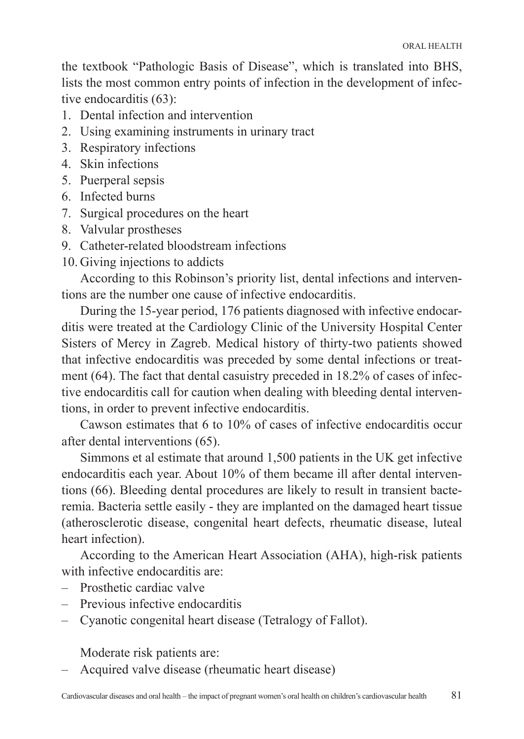the textbook "Pathologic Basis of Disease", which is translated into BHS, lists the most common entry points of infection in the development of infective endocarditis (63):

- 1. Dental infection and intervention
- 2. Using examining instruments in urinary tract
- 3. Respiratory infections
- 4. Skin infections
- 5. Puerperal sepsis
- 6. Infected burns
- 7. Surgical procedures on the heart
- 8. Valvular prostheses
- 9. Catheter-related bloodstream infections
- 10. Giving injections to addicts

According to this Robinson's priority list, dental infections and interventions are the number one cause of infective endocarditis.

During the 15-year period, 176 patients diagnosed with infective endocarditis were treated at the Cardiology Clinic of the University Hospital Center Sisters of Mercy in Zagreb. Medical history of thirty-two patients showed that infective endocarditis was preceded by some dental infections or treatment (64). The fact that dental casuistry preceded in 18.2% of cases of infective endocarditis call for caution when dealing with bleeding dental interventions, in order to prevent infective endocarditis.

Cawson estimates that 6 to 10% of cases of infective endocarditis occur after dental interventions (65).

Simmons et al estimate that around 1,500 patients in the UK get infective endocarditis each year. About 10% of them became ill after dental interventions (66). Bleeding dental procedures are likely to result in transient bacteremia. Bacteria settle easily - they are implanted on the damaged heart tissue (atherosclerotic disease, congenital heart defects, rheumatic disease, luteal heart infection).

According to the American Heart Association (AHA), high-risk patients with infective endocarditis are:

- Prosthetic cardiac valve
- Previous infective endocarditis
- Cyanotic congenital heart disease (Tetralogy of Fallot).

Moderate risk patients are:

– Acquired valve disease (rheumatic heart disease)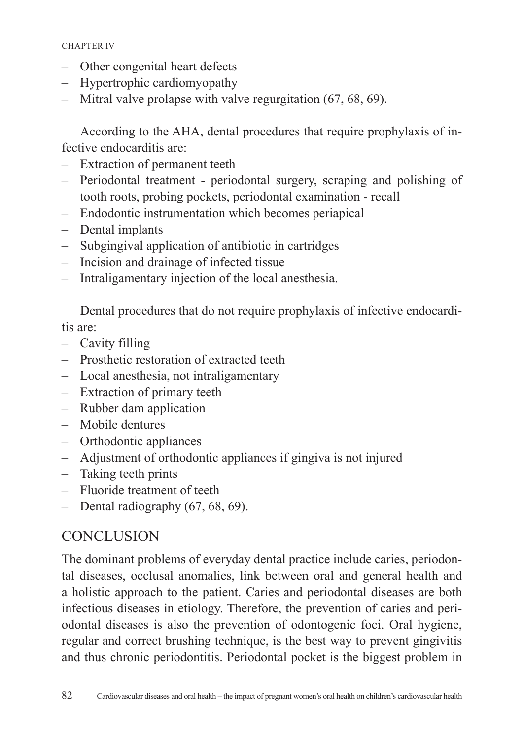- Other congenital heart defects
- Hypertrophic cardiomyopathy
- Mitral valve prolapse with valve regurgitation (67, 68, 69).

According to the AHA, dental procedures that require prophylaxis of infective endocarditis are:

- Extraction of permanent teeth
- Periodontal treatment periodontal surgery, scraping and polishing of tooth roots, probing pockets, periodontal examination - recall
- Endodontic instrumentation which becomes periapical
- Dental implants
- Subgingival application of antibiotic in cartridges
- Incision and drainage of infected tissue
- Intraligamentary injection of the local anesthesia.

Dental procedures that do not require prophylaxis of infective endocarditis are:

- Cavity filling
- Prosthetic restoration of extracted teeth
- Local anesthesia, not intraligamentary
- Extraction of primary teeth
- Rubber dam application
- Mobile dentures
- Orthodontic appliances
- Adjustment of orthodontic appliances if gingiva is not injured
- Taking teeth prints
- Fluoride treatment of teeth
- Dental radiography (67, 68, 69).

# **CONCLUSION**

The dominant problems of everyday dental practice include caries, periodontal diseases, occlusal anomalies, link between oral and general health and a holistic approach to the patient. Caries and periodontal diseases are both infectious diseases in etiology. Therefore, the prevention of caries and periodontal diseases is also the prevention of odontogenic foci. Oral hygiene, regular and correct brushing technique, is the best way to prevent gingivitis and thus chronic periodontitis. Periodontal pocket is the biggest problem in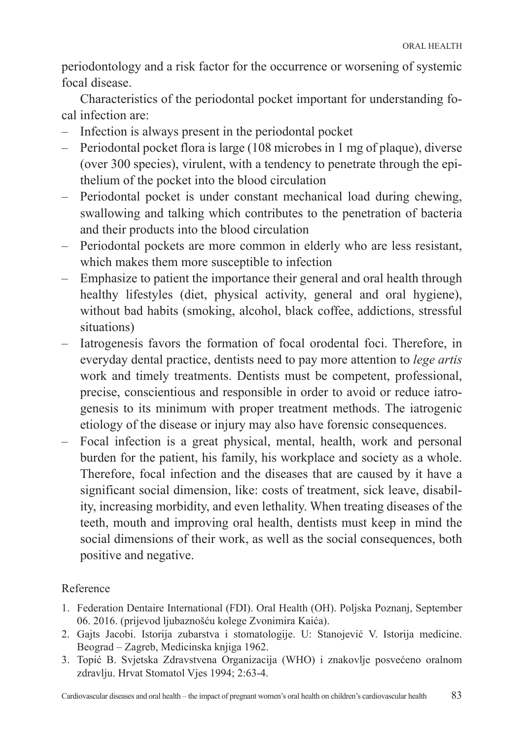periodontology and a risk factor for the occurrence or worsening of systemic focal disease.

Characteristics of the periodontal pocket important for understanding focal infection are:

- Infection is always present in the periodontal pocket
- Periodontal pocket flora is large (108 microbes in 1 mg of plaque), diverse (over 300 species), virulent, with a tendency to penetrate through the epithelium of the pocket into the blood circulation
- Periodontal pocket is under constant mechanical load during chewing, swallowing and talking which contributes to the penetration of bacteria and their products into the blood circulation
- Periodontal pockets are more common in elderly who are less resistant, which makes them more susceptible to infection
- Emphasize to patient the importance their general and oral health through healthy lifestyles (diet, physical activity, general and oral hygiene), without bad habits (smoking, alcohol, black coffee, addictions, stressful situations)
- Iatrogenesis favors the formation of focal orodental foci. Therefore, in everyday dental practice, dentists need to pay more attention to *lege artis* work and timely treatments. Dentists must be competent, professional, precise, conscientious and responsible in order to avoid or reduce iatrogenesis to its minimum with proper treatment methods. The iatrogenic etiology of the disease or injury may also have forensic consequences.
- Focal infection is a great physical, mental, health, work and personal burden for the patient, his family, his workplace and society as a whole. Therefore, focal infection and the diseases that are caused by it have a significant social dimension, like: costs of treatment, sick leave, disability, increasing morbidity, and even lethality. When treating diseases of the teeth, mouth and improving oral health, dentists must keep in mind the social dimensions of their work, as well as the social consequences, both positive and negative.

#### Reference

- 1. Federation Dentaire International (FDI). Oral Health (OH). Poljska Poznanj, September 06. 2016. (prijevod ljubaznošću kolege Zvonimira Kaića).
- 2. Gajts Jacobi. Istorija zubarstva i stomatologije. U: Stanojević V. Istorija medicine. Beograd – Zagreb, Medicinska knjiga 1962.
- 3. Topić B. Svjetska Zdravstvena Organizacija (WHO) i znakovlje posvećeno oralnom zdravlju. Hrvat Stomatol Vjes 1994; 2:63-4.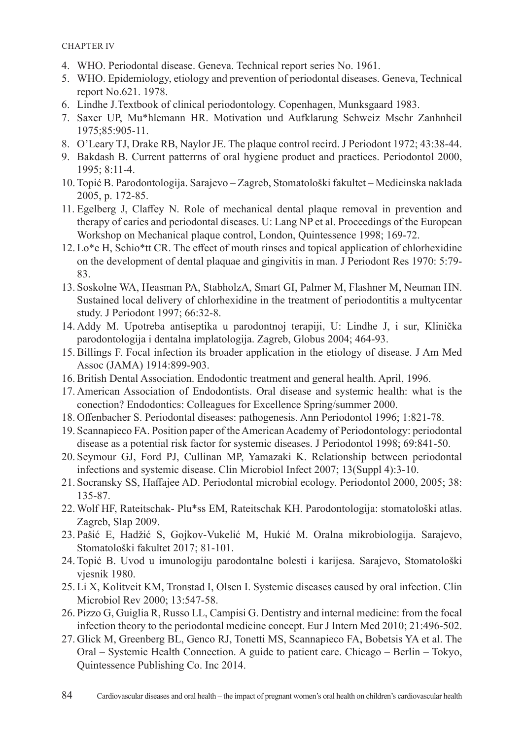- 4. WHO. Periodontal disease. Geneva. Technical report series No. 1961.
- 5. WHO. Epidemiology, etiology and prevention of periodontal diseases. Geneva, Technical report No.621. 1978.
- 6. Lindhe J.Textbook of clinical periodontology. Copenhagen, Munksgaard 1983.
- 7. Saxer UP, Mu\*hlemann HR. Motivation und Aufklarung Schweiz Mschr Zanhnheil 1975;85:905-11.
- 8. O'Leary TJ, Drake RB, Naylor JE. The plaque control recird. J Periodont 1972; 43:38-44.
- 9. Bakdash B. Current patterrns of oral hygiene product and practices. Periodontol 2000, 1995; 8:11-4.
- 10. Topić B. Parodontologija. Sarajevo Zagreb, Stomatološki fakultet Medicinska naklada 2005, p. 172-85.
- 11. Egelberg J, Claffey N. Role of mechanical dental plaque removal in prevention and therapy of caries and periodontal diseases. U: Lang NP et al. Proceedings of the European Workshop on Mechanical plaque control, London, Quintessence 1998; 169-72.
- 12. Lo\*e H, Schio\*tt CR. The effect of mouth rinses and topical application of chlorhexidine on the development of dental plaquae and gingivitis in man. J Periodont Res 1970: 5:79- 83.
- 13. Soskolne WA, Heasman PA, StabholzA, Smart GI, Palmer M, Flashner M, Neuman HN. Sustained local delivery of chlorhexidine in the treatment of periodontitis a multycentar study. J Periodont 1997; 66:32-8.
- 14. Addy M. Upotreba antiseptika u parodontnoj terapiji, U: Lindhe J, i sur, Klinička parodontologija i dentalna implatologija. Zagreb, Globus 2004; 464-93.
- 15. Billings F. Focal infection its broader application in the etiology of disease. J Am Med Assoc (JAMA) 1914:899-903.
- 16. British Dental Association. Endodontic treatment and general health. April, 1996.
- 17. American Association of Endodontists. Oral disease and systemic health: what is the conection? Endodontics: Colleagues for Excellence Spring/summer 2000.
- 18. Offenbacher S. Periodontal diseases: pathogenesis. Ann Periodontol 1996; 1:821-78.
- 19. Scannapieco FA. Position paper of the American Academy of Periodontology: periodontal disease as a potential risk factor for systemic diseases. J Periodontol 1998; 69:841-50.
- 20. Seymour GJ, Ford PJ, Cullinan MP, Yamazaki K. Relationship between periodontal infections and systemic disease. Clin Microbiol Infect 2007; 13(Suppl 4):3-10.
- 21. Socransky SS, Haffajee AD. Periodontal microbial ecology. Periodontol 2000, 2005; 38: 135-87.
- 22. Wolf HF, Rateitschak- Plu\*ss EM, Rateitschak KH. Parodontologija: stomatološki atlas. Zagreb, Slap 2009.
- 23. Pašić E, Hadžić S, Gojkov-Vukelić M, Hukić M. Oralna mikrobiologija. Sarajevo, Stomatološki fakultet 2017; 81-101.
- 24. Topić B. Uvod u imunologiju parodontalne bolesti i karijesa. Sarajevo, Stomatološki vjesnik 1980.
- 25. Li X, Kolitveit KM, Tronstad I, Olsen I. Systemic diseases caused by oral infection. Clin Microbiol Rev 2000; 13:547-58.
- 26. Pizzo G, Guiglia R, Russo LL, Campisi G. Dentistry and internal medicine: from the focal infection theory to the periodontal medicine concept. Eur J Intern Med 2010; 21:496-502.
- 27. Glick M, Greenberg BL, Genco RJ, Tonetti MS, Scannapieco FA, Bobetsis YA et al. The Oral – Systemic Health Connection. A guide to patient care. Chicago – Berlin – Tokyo, Quintessence Publishing Co. Inc 2014.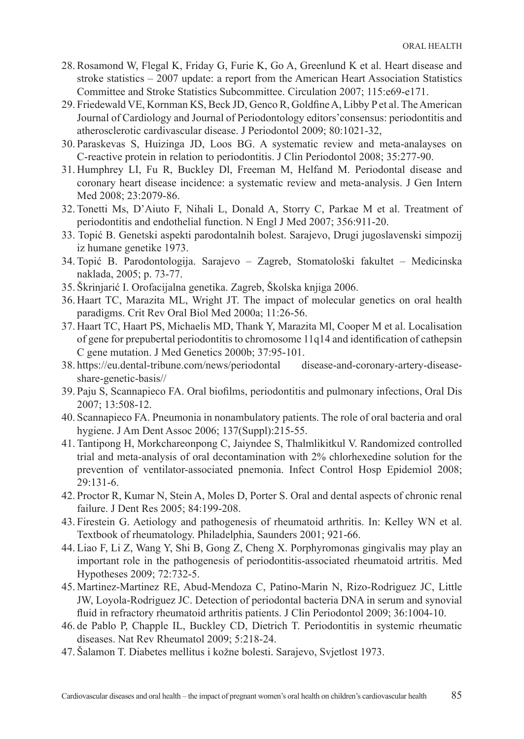- 28. Rosamond W, Flegal K, Friday G, Furie K, Go A, Greenlund K et al. Heart disease and stroke statistics – 2007 update: a report from the American Heart Association Statistics Committee and Stroke Statistics Subcommittee. Circulation 2007; 115:e69-e171.
- 29. Friedewald VE, Kornman KS, Beck JD, Genco R, Goldfine A, Libby P et al. The American Journal of Cardiology and Journal of Periodontology editors'consensus: periodontitis and atherosclerotic cardivascular disease. J Periodontol 2009; 80:1021-32,
- 30. Paraskevas S, Huizinga JD, Loos BG. A systematic review and meta-analayses on C-reactive protein in relation to periodontitis. J Clin Periodontol 2008; 35:277-90.
- 31. Humphrey LI, Fu R, Buckley Dl, Freeman M, Helfand M. Periodontal disease and coronary heart disease incidence: a systematic review and meta-analysis. J Gen Intern Med 2008; 23:2079-86.
- 32. Tonetti Ms, D'Aiuto F, Nihali L, Donald A, Storry C, Parkae M et al. Treatment of periodontitis and endothelial function. N Engl J Med 2007; 356:911-20.
- 33. Topić B. Genetski aspekti parodontalnih bolest. Sarajevo, Drugi jugoslavenski simpozij iz humane genetike 1973.
- 34. Topić B. Parodontologija. Sarajevo Zagreb, Stomatološki fakultet Medicinska naklada, 2005; p. 73-77.
- 35. Škrinjarić I. Orofacijalna genetika. Zagreb, Školska knjiga 2006.
- 36. Haart TC, Marazita ML, Wright JT. The impact of molecular genetics on oral health paradigms. Crit Rev Oral Biol Med 2000a; 11:26-56.
- 37. Haart TC, Haart PS, Michaelis MD, Thank Y, Marazita Ml, Cooper M et al. Localisation of gene for prepubertal periodontitis to chromosome 11q14 and identification of cathepsin C gene mutation. J Med Genetics 2000b; 37:95-101.
- 38. <https://eu.dental-tribune.com/news/periodontal> disease-and-coronary-artery-diseaseshare-genetic-basis//
- 39. Paju S, Scannapieco FA. Oral biofilms, periodontitis and pulmonary infections, Oral Dis 2007; 13:508-12.
- 40. Scannapieco FA. Pneumonia in nonambulatory patients. The role of oral bacteria and oral hygiene. J Am Dent Assoc 2006; 137(Suppl):215-55.
- 41. Tantipong H, Morkchareonpong C, Jaiyndee S, Thalmlikitkul V. Randomized controlled trial and meta-analysis of oral decontamination with 2% chlorhexedine solution for the prevention of ventilator-associated pnemonia. Infect Control Hosp Epidemiol 2008; 29:131-6.
- 42. Proctor R, Kumar N, Stein A, Moles D, Porter S. Oral and dental aspects of chronic renal failure. J Dent Res 2005; 84:199-208.
- 43. Firestein G. Aetiology and pathogenesis of rheumatoid arthritis. In: Kelley WN et al. Textbook of rheumatology. Philadelphia, Saunders 2001; 921-66.
- 44. Liao F, Li Z, Wang Y, Shi B, Gong Z, Cheng X. Porphyromonas gingivalis may play an important role in the pathogenesis of periodontitis-associated rheumatoid artritis. Med Hypotheses 2009; 72:732-5.
- 45. Martinez-Martinez RE, Abud-Mendoza C, Patino-Marin N, Rizo-Rodriguez JC, Little JW, Loyola-Rodriguez JC. Detection of periodontal bacteria DNA in serum and synovial fluid in refractory rheumatoid arthritis patients. J Clin Periodontol 2009; 36:1004-10.
- 46. de Pablo P, Chapple IL, Buckley CD, Dietrich T. Periodontitis in systemic rheumatic diseases. Nat Rev Rheumatol 2009; 5:218-24.
- 47. Šalamon T. Diabetes mellitus i kožne bolesti. Sarajevo, Svjetlost 1973.